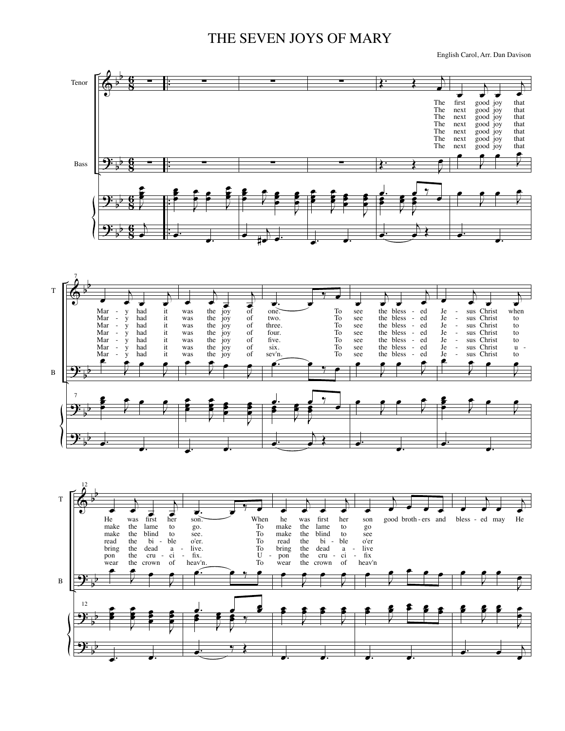## THE SEVEN JOYS OF MARY

English Carol, Arr. Dan Davison